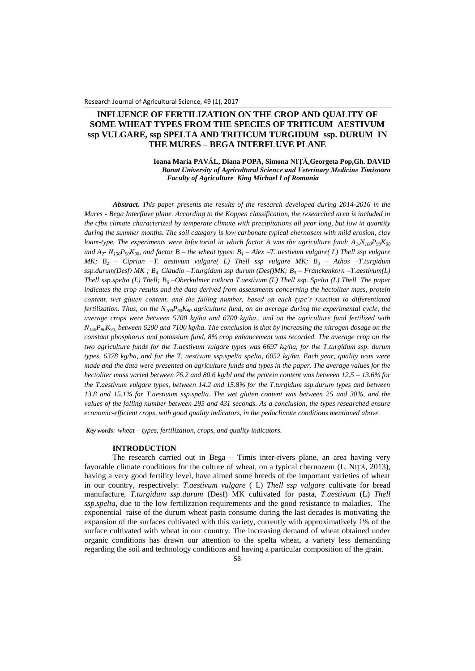# **INFLUENCE OF FERTILIZATION ON THE CROP AND QUALITY OF SOME WHEAT TYPES FROM THE SPECIES OF TRITICUM AESTIVUM ssp VULGARE, ssp SPELTA AND TRITICUM TURGIDUM ssp. DURUM IN THE MURES – BEGA INTERFLUVE PLANE**

**Ioana Maria PAVĂL, Diana POPA, Simona NIȚĂ,Georgeta Pop,Gh. DAVID** *Banat University of Agricultural Science and Veterinary Medicine Timișoara Faculty of Agriculture King Michael I of Romania*

*Abstract. This paper presents the results of the research developed during 2014-2016 in the Mures - Bega Interfluve plane. According to the Koppen classification, the researched area is included in the cfbx climate characterized by temperate climate with precipitations all year long, but low in quantity during the summer months. The soil category is low carbonate typical chernosem with mild erosion, clay loam-type. The experiments were bifactorial in which factor A was the agriculture fund:*  $A_1N_{100}P_{90}K_{90}$ *and A<sup>2</sup> - N150P90K90, and factor B – the wheat types: B<sup>1</sup> – Alex –T. aestivum vulgare( L) Thell ssp vulgare MK; B<sup>2</sup> – Ciprian –T. aestivum vulgare( L) Thell ssp vulgare MK; B<sup>3</sup> – Athos –T.turgidum ssp.durum(Desf) MK ; B4- Claudio –T.turgidum ssp durum (Desf)MK; B<sup>5</sup> – Franckenkorn –T.aestivum(L) Thell ssp.spelta (L) Thell; B<sup>6</sup> –Oberkulmer rotkorn T.aestivum (L) Thell ssp. Spelta (L) Thell. The paper indicates the crop results and the data derived from assessments concerning the hectoliter mass, protein content, wet gluten content, and the falling number, based on each type's reaction to differentiated fertilization. Thus, on the N100P90K<sup>90</sup> agriculture fund, on an average during the experimental cycle, the average crops were between 5700 kg/ha and 6700 kg/ha., and on the agriculture fund fertilized with*   $N_{150}P_{90}K_{90}$  between 6200 and 7100 kg/ha. The conclusion is that by increasing the nitrogen dosage on the *constant phosphorus and potassium fund, 8% crop enhancement was recorded. The average crop on the two agriculture funds for the T.aestivum vulgare types was 6697 kg/ha, for the T.turgidum ssp. durum types, 6378 kg/ha, and for the T. aestivum ssp.spelta spelta, 6052 kg/ha. Each year, quality tests were made and the data were presented on agriculture funds and types in the paper. The average values for the hectoliter mass varied between 76.2 and 80.6 kg/hl and the protein content was between 12.5 – 13.6% for the T.aestivum vulgare types, between 14.2 and 15.8% for the T.turgidum ssp.durum types and between 13.8 and 15.1% for T.aestivum ssp.spelta. The wet gluten content was between 25 and 30%, and the values of the falling number between 295 and 431 seconds. As a conclusion, the types researched ensure economic-efficient crops, with good quality indicators, in the pedoclimate conditions mentioned above.*

*Key words: wheat – types, fertilization, crops, and quality indicators.*

## **INTRODUCTION**

The research carried out in Bega – Timis inter-rivers plane, an area having very favorable climate conditions for the culture of wheat, on a typical chernozem (L. NIŢĂ, 2013), having a very good fertility level, have aimed some breeds of the important varieties of wheat in our country, respectively: *T.aestivum vulgare* ( L) *Thell ssp vulgare* cultivate for bread manufacture, *T.turgidum ssp.durum* (Desf) MK cultivated for pasta, *T.aestivum* (L) *Thell ssp.spelta*, due to the low fertilization requirements and the good resistance to maladies. The exponential raise of the durum wheat pasta consume during the last decades is motivating the expansion of the surfaces cultivated with this variety, currently with approximatively 1% of the surface cultivated with wheat in our country. The increasing demand of wheat obtained under organic conditions has drawn our attention to the spelta wheat, a variety less demanding regarding the soil and technology conditions and having a particular composition of the grain.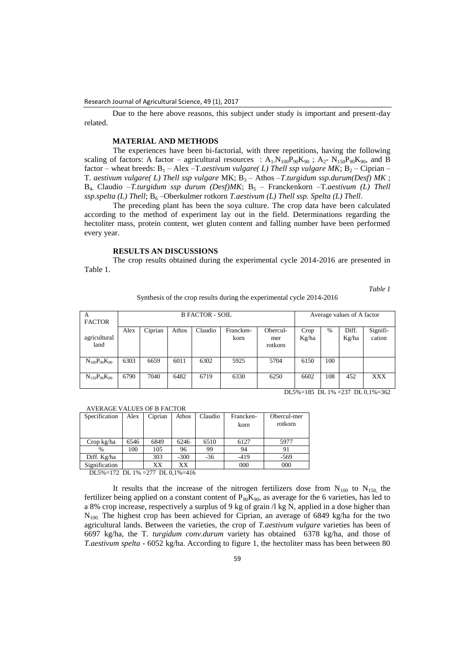Due to the here above reasons, this subject under study is important and present-day related.

# **MATERIAL AND METHODS**

The experiences have been bi-factorial, with three repetitions, having the following scaling of factors: A factor – agricultural resources :  $A_1.N_{100}P_{90}K_{90}$ ;  $A_2-N_{150}P_{90}K_{90}$ , and B factor – wheat breeds:  $B_1$  – Alex –T.*aestivum vulgare(L) Thell ssp vulgare MK*;  $B_2$  – Ciprian – T. aestivum vulgare( L) Thell ssp vulgare MK; B<sub>3</sub> - Athos -T.turgidum ssp.durum(Desf) MK; B<sub>4</sub>. Claudio –*T.turgidum ssp durum (Desf)MK*; B<sub>5</sub> – Franckenkorn –T.aestivum (L) Thell ssp.spelta (L) Thell; B<sub>6</sub>-Oberkulmer rotkorn *T.aestivum (L) Thell ssp. Spelta (L) Thell.* 

The preceding plant has been the soya culture. The crop data have been calculated according to the method of experiment lay out in the field. Determinations regarding the hectoliter mass, protein content, wet gluten content and falling number have been performed every year.

### **RESULTS AN DISCUSSIONS**

The crop results obtained during the experimental cycle 2014-2016 are presented in Table 1.

*Table 1*

| Synthesis of the crop results during the experimental cycle 2014-2016 |  |  |  |
|-----------------------------------------------------------------------|--|--|--|
|                                                                       |  |  |  |

| А<br><b>FACTOR</b>    |      |         | <b>B FACTOR - SOIL</b> | Average values of A factor |                   |                            |               |     |                |                    |
|-----------------------|------|---------|------------------------|----------------------------|-------------------|----------------------------|---------------|-----|----------------|--------------------|
| agricultural<br>land  | Alex | Ciprian | Athos                  | Claudio                    | Francken-<br>korn | Obercul-<br>mer<br>rotkorn | Crop<br>Kg/ha | %   | Diff.<br>Kg/ha | Signifi-<br>cation |
| $N_{100}P_{90}K_{90}$ | 6303 | 6659    | 6011                   | 6302                       | 5925              | 5704                       | 6150          | 100 |                |                    |
| $N_{150}P_{90}K_{90}$ | 6790 | 7040    | 6482                   | 6719                       | 6330              | 6250                       | 6602          | 108 | 452            | <b>XXX</b>         |

DL5%=185 DL 1% =237 DL 0,1%=362

#### AVERAGE VALUES OF B FACTOR

| Specification | Alex | Ciprian | Athos  | Claudio | Francken-<br>korn | Obercul-mer<br>rotkorn |
|---------------|------|---------|--------|---------|-------------------|------------------------|
| Crop kg/ha    | 6546 | 6849    | 6246   | 6510    | 6127              | 5977                   |
| $\%$          | 100  | 105     | 96     | 99      | 94                |                        |
| Diff. Kg/ha   |      | 303     | $-300$ | $-36$   | $-419$            | $-569$                 |
| Signification |      | XХ      | XХ     |         | 000               | 000                    |
|               |      |         |        |         |                   |                        |

DL5%=172 DL 1% =277 DL 0,1%=416

It results that the increase of the nitrogen fertilizers dose from  $N_{100}$  to  $N_{150}$ , the fertilizer being applied on a constant content of  $P_{90}K_{90}$ , as average for the 6 varieties, has led to a 8% crop increase, respectively a surplus of 9 kg of grain /l kg N, applied in a dose higher than N100. The highest crop has been achieved for Ciprian, an average of 6849 kg/ha for the two agricultural lands. Between the varieties, the crop of *T.aestivum vulgare* varieties has been of 6697 kg/ha, the T*. turgidum conv.durum* variety has obtained 6378 kg/ha, and those of *T.aestivum spelta* - 6052 kg/ha. According to figure 1, the hectoliter mass has been between 80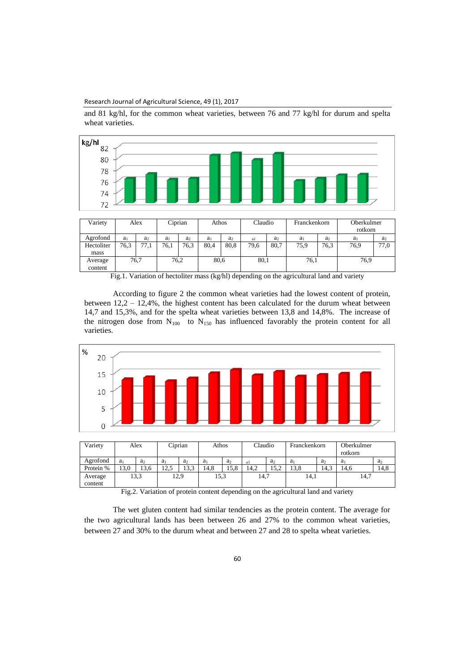Research Journal of Agricultural Science, 49 (1), 2017

and 81 kg/hl, for the common wheat varieties, between 76 and 77 kg/hl for durum and spelta wheat varieties.



| mass               |      |      |      |      |      |      |
|--------------------|------|------|------|------|------|------|
| Average<br>content | 76,7 | 76,2 | 80,6 | 80,1 | 76.1 | 76,9 |
|                    |      |      |      |      |      |      |

Fig.1. Variation of hectoliter mass (kg/hl) depending on the agricultural land and variety

According to figure 2 the common wheat varieties had the lowest content of protein, between 12,2 – 12,4%, the highest content has been calculated for the durum wheat between 14,7 and 15,3%, and for the spelta wheat varieties between 13,8 and 14,8%. The increase of the nitrogen dose from  $N_{100}$  to  $N_{150}$  has influenced favorably the protein content for all varieties.



| Variety            |                | Alex           | Ciprian        |                | Athos          |                | Claudio |                | Franckenkorn   |                | Oberkulmer<br>rotkorn |                |  |
|--------------------|----------------|----------------|----------------|----------------|----------------|----------------|---------|----------------|----------------|----------------|-----------------------|----------------|--|
| Agrofond           | a <sub>1</sub> | a <sub>2</sub> | a <sub>1</sub> | a <sub>2</sub> | a <sub>1</sub> | a <sub>2</sub> | -a l    | a <sub>2</sub> | a <sub>1</sub> | a <sub>2</sub> | a <sub>1</sub>        | a <sub>2</sub> |  |
| Protein %          | 13.0           | 13.6           | 12.5           | 13.3           | 14.8           | 15.8           | 14.2    | 15.2           | 13.8           | 14.3           | 14.6                  | 14.8           |  |
| Average<br>content |                | 13.3           | 12,9           |                |                | 15,3           |         | 14,7           |                | 14,1           |                       | 14,7           |  |

Fig.2. Variation of protein content depending on the agricultural land and variety

The wet gluten content had similar tendencies as the protein content. The average for the two agricultural lands has been between 26 and 27% to the common wheat varieties, between 27 and 30% to the durum wheat and between 27 and 28 to spelta wheat varieties.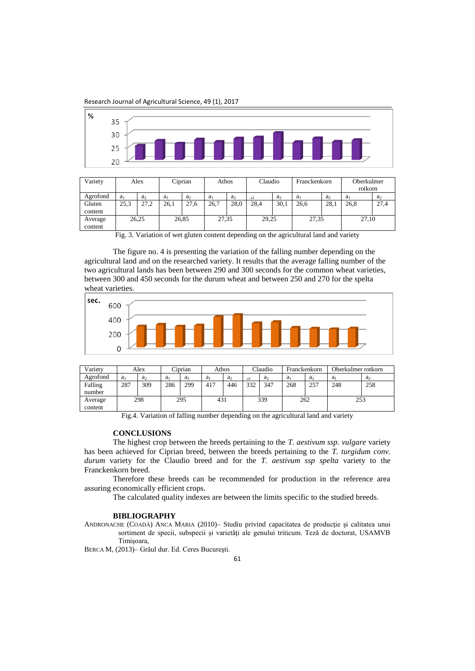Research Journal of Agricultural Science, 49 (1), 2017



| Variety  |                | Alex           | Ciprian        |                | Athos          |                | Claudio |                | Franckenkorn   |                | Oberkulmer<br>rotkorn |                |
|----------|----------------|----------------|----------------|----------------|----------------|----------------|---------|----------------|----------------|----------------|-----------------------|----------------|
| Agrofond | a <sub>1</sub> | a <sub>2</sub> | a <sub>1</sub> | a <sub>2</sub> | a <sub>1</sub> | a <sub>2</sub> | -a l    | a <sub>2</sub> | a <sub>1</sub> | a <sub>2</sub> | a <sub>1</sub>        | a <sub>2</sub> |
| Gluten   | 25,3           | 27.2           | 26.1           | 27,6           | 26.7           | 28,0           | 28.4    | 30,1           | 26.6           | 28,1           | 26.8                  | 27,4           |
| content  |                |                |                |                |                |                |         |                |                |                |                       |                |
| Average  |                | 26,25          |                | 26,85          | 27,35          |                | 29,25   |                | 27,35          |                | 27,10                 |                |
| content  |                |                |                |                |                |                |         |                |                |                |                       |                |

Fig. 3. Variation of wet gluten content depending on the agricultural land and variety

The figure no. 4 is presenting the variation of the falling number depending on the agricultural land and on the researched variety. It results that the average falling number of the two agricultural lands has been between 290 and 300 seconds for the common wheat varieties, between 300 and 450 seconds for the durum wheat and between 250 and 270 for the spelta wheat varieties.



| Varietv            |                | Alex           | Ciprian |                | Athos          |                | Claudio |                | Franckenkorn   |                | Oberkulmer rotkorn |                |
|--------------------|----------------|----------------|---------|----------------|----------------|----------------|---------|----------------|----------------|----------------|--------------------|----------------|
| Agrofond           | a <sub>1</sub> | a <sub>2</sub> | $a_1$   | a <sub>2</sub> | a <sub>1</sub> | a <sub>2</sub> | al      | a <sub>2</sub> | a <sub>i</sub> | a <sub>2</sub> | a <sub>1</sub>     | a <sub>2</sub> |
| Falling<br>number  | 287            | 309            | 286     | 299            | 417            | 446            | 332     | 347            | 268            | 257            | 248                | 258            |
| Average<br>content | 298            |                | 295     |                | 431            |                | 339     |                | 262            |                | 253                |                |

Fig.4. Variation of falling number depending on the agricultural land and variety

### **CONCLUSIONS**

The highest crop between the breeds pertaining to the *T. aestivum ssp. vulgare* variety has been achieved for Ciprian breed, between the breeds pertaining to the *T. turgidum conv. durum* variety for the Claudio breed and for the *T. aestivum ssp spelta* variety to the Franckenkorn breed.

Therefore these breeds can be recommended for production in the reference area assuring economically efficient crops.

The calculated quality indexes are between the limits specific to the studied breeds.

#### **BIBLIOGRAPHY**

ANDRONACHE (COADĂ) ANCA MARIA (2010)– Studiu privind capacitatea de producţie şi calitatea unui sortiment de specii, subspecii şi varietăţi ale genului triticum. Teză de doctorat, USAMVB Timişoara,

BERCA M, (2013)– Grâul dur. Ed. Ceres Bucureşti.